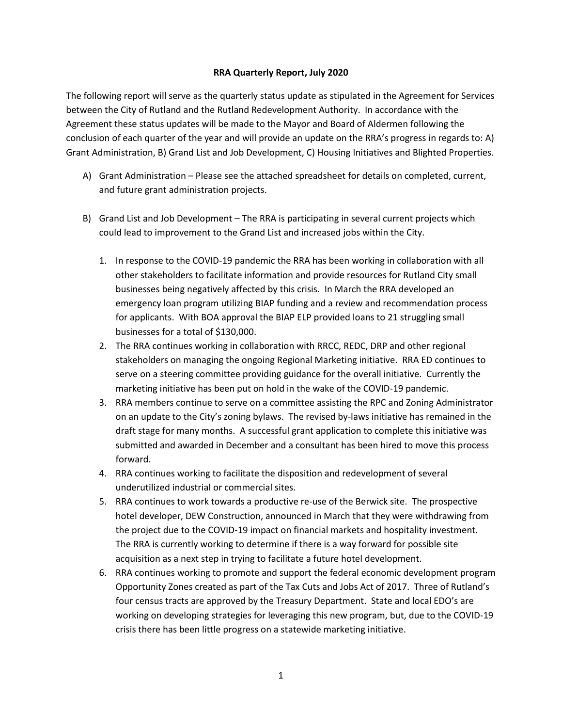## **RRA Quarterly Report, July 2020**

The following report will serve as the quarterly status update as stipulated in the Agreement for Services between the City of Rutland and the Rutland Redevelopment Authority. In accordance with the Agreement these status updates will be made to the Mayor and Board of Aldermen following the conclusion of each quarter of the year and will provide an update on the RRA's progress in regards to: A) Grant Administration, B) Grand List and Job Development, C) Housing Initiatives and Blighted Properties.

- A) Grant Administration Please see the attached spreadsheet for details on completed, current, and future grant administration projects.
- B) Grand List and Job Development The RRA is participating in several current projects which could lead to improvement to the Grand List and increased jobs within the City.
	- 1. In response to the COVID-19 pandemic the RRA has been working in collaboration with all other stakeholders to facilitate information and provide resources for Rutland City small businesses being negatively affected by this crisis. In March the RRA developed an emergency loan program utilizing BIAP funding and a review and recommendation process for applicants. With BOA approval the BIAP ELP provided loans to 21 struggling small businesses for a total of \$130,000.
	- 2. The RRA continues working in collaboration with RRCC, REDC, DRP and other regional stakeholders on managing the ongoing Regional Marketing initiative. RRA ED continues to serve on a steering committee providing guidance for the overall initiative. Currently the marketing initiative has been put on hold in the wake of the COVID-19 pandemic.
	- 3. RRA members continue to serve on a committee assisting the RPC and Zoning Administrator on an update to the City's zoning bylaws. The revised by-laws initiative has remained in the draft stage for many months. A successful grant application to complete this initiative was submitted and awarded in December and a consultant has been hired to move this process forward.
	- 4. RRA continues working to facilitate the disposition and redevelopment of several underutilized industrial or commercial sites.
	- 5. RRA continues to work towards a productive re-use of the Berwick site. The prospective hotel developer, DEW Construction, announced in March that they were withdrawing from the project due to the COVID-19 impact on financial markets and hospitality investment. The RRA is currently working to determine if there is a way forward for possible site acquisition as a next step in trying to facilitate a future hotel development.
	- 6. RRA continues working to promote and support the federal economic development program Opportunity Zones created as part of the Tax Cuts and Jobs Act of 2017. Three of Rutland's four census tracts are approved by the Treasury Department. State and local EDO's are working on developing strategies for leveraging this new program, but, due to the COVID-19 crisis there has been little progress on a statewide marketing initiative.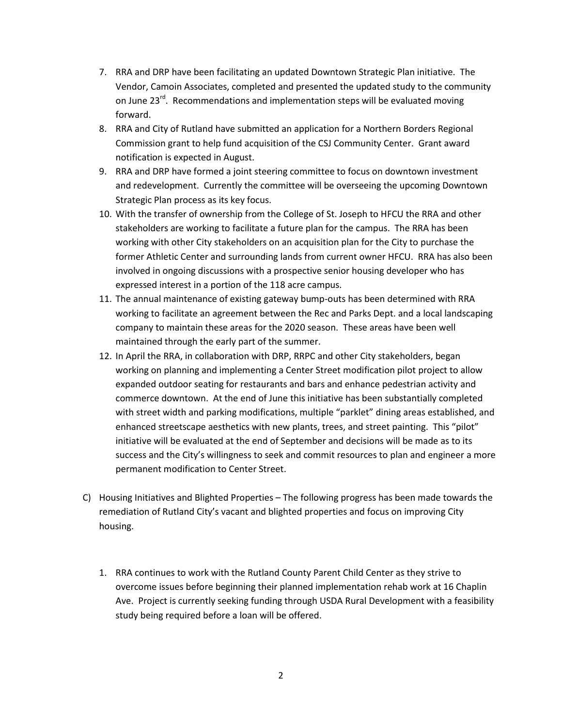- 7. RRA and DRP have been facilitating an updated Downtown Strategic Plan initiative. The Vendor, Camoin Associates, completed and presented the updated study to the community on June 23<sup>rd</sup>. Recommendations and implementation steps will be evaluated moving forward.
- 8. RRA and City of Rutland have submitted an application for a Northern Borders Regional Commission grant to help fund acquisition of the CSJ Community Center. Grant award notification is expected in August.
- 9. RRA and DRP have formed a joint steering committee to focus on downtown investment and redevelopment. Currently the committee will be overseeing the upcoming Downtown Strategic Plan process as its key focus.
- 10. With the transfer of ownership from the College of St. Joseph to HFCU the RRA and other stakeholders are working to facilitate a future plan for the campus. The RRA has been working with other City stakeholders on an acquisition plan for the City to purchase the former Athletic Center and surrounding lands from current owner HFCU. RRA has also been involved in ongoing discussions with a prospective senior housing developer who has expressed interest in a portion of the 118 acre campus.
- 11. The annual maintenance of existing gateway bump-outs has been determined with RRA working to facilitate an agreement between the Rec and Parks Dept. and a local landscaping company to maintain these areas for the 2020 season. These areas have been well maintained through the early part of the summer.
- 12. In April the RRA, in collaboration with DRP, RRPC and other City stakeholders, began working on planning and implementing a Center Street modification pilot project to allow expanded outdoor seating for restaurants and bars and enhance pedestrian activity and commerce downtown. At the end of June this initiative has been substantially completed with street width and parking modifications, multiple "parklet" dining areas established, and enhanced streetscape aesthetics with new plants, trees, and street painting. This "pilot" initiative will be evaluated at the end of September and decisions will be made as to its success and the City's willingness to seek and commit resources to plan and engineer a more permanent modification to Center Street.
- C) Housing Initiatives and Blighted Properties The following progress has been made towards the remediation of Rutland City's vacant and blighted properties and focus on improving City housing.
	- 1. RRA continues to work with the Rutland County Parent Child Center as they strive to overcome issues before beginning their planned implementation rehab work at 16 Chaplin Ave. Project is currently seeking funding through USDA Rural Development with a feasibility study being required before a loan will be offered.